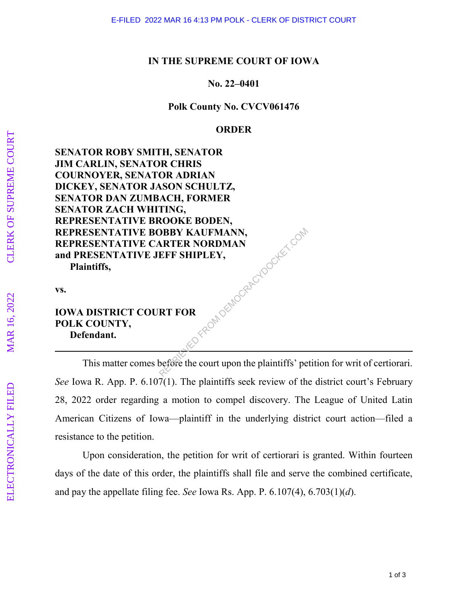### **IN THE SUPREME COURT OF IOWA**

# **No. 22–0401**

## **Polk County No. CVCV061476**

# **ORDER**

**SENATOR ROBY SMITH, SENATOR JIM CARLIN, SENATOR CHRIS COURNOYER, SENATOR ADRIAN DICKEY, SENATOR JASON SCHULTZ, SENATOR DAN ZUMBACH, FORMER SENATOR ZACH WHITING, REPRESENTATIVE BROOKE BODEN, REPRESENTATIVE BOBBY KAUFMANN, REPRESENTATIVE CARTER NORDMAN and PRESENTATIVE JEFF SHIPLEY, Plaintiffs,**  FROM DEMOCRACYDOCKET.COM

**vs.** 

# **IOWA DISTRICT COURT FOR POLK COUNTY, Defendant.**

This matter comes before the court upon the plaintiffs' petition for writ of certiorari. *See* Iowa R. App. P. 6.107(1). The plaintiffs seek review of the district court's February 28, 2022 order regarding a motion to compel discovery. The League of United Latin American Citizens of Iowa—plaintiff in the underlying district court action—filed a resistance to the petition.

Upon consideration, the petition for writ of certiorari is granted. Within fourteen days of the date of this order, the plaintiffs shall file and serve the combined certificate, and pay the appellate filing fee. *See* Iowa Rs. App. P. 6.107(4), 6.703(1)( *d*).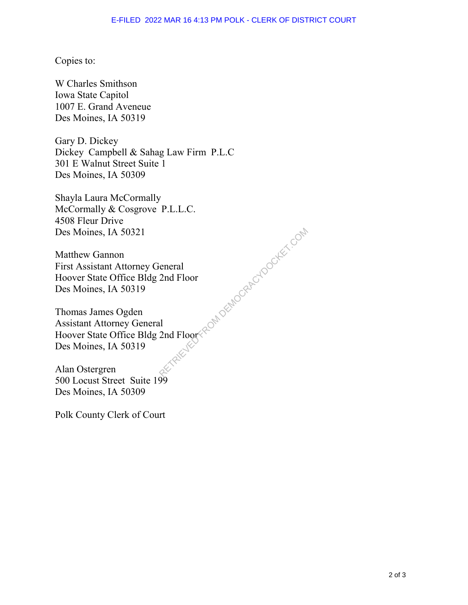# Copies to:

W Charles Smithson Iowa State Capitol 1007 E. Grand Aveneue Des Moines, IA 50319

Gary D. Dickey Dickey Campbell & Sahag Law Firm P.L.C 301 E Walnut Street Suite 1 Des Moines, IA 50309

Shayla Laura McCormally McCormally & Cosgrove P.L.L.C. 4508 Fleur Drive Des Moines, IA 50321

Matthew Gannon First Assistant Attorney General Hoover State Office Bldg 2nd Floor Des Moines, IA 50319

Thomas James Ogden Assistant Attorney General Hoover State Office Bldg 2nd Floor Des Moines, IA 50319 eneral<br>2nd Floor<br>1 2nd Floor Republished Republic Compositions

Alan Ostergren 500 Locust Street Suite 199 Des Moines, IA 50309

Polk County Clerk of Court